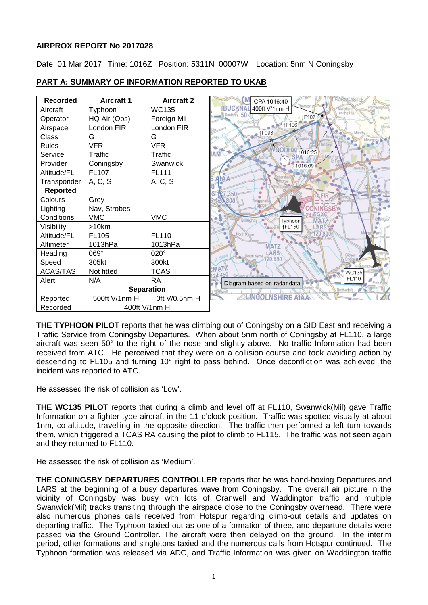# **AIRPROX REPORT No 2017028**

Date: 01 Mar 2017 Time: 1016Z Position: 5311N 00007W Location: 5nm N Coningsby

| <b>Recorded</b> | <b>Aircraft 1</b> | <b>Aircraft 2</b> | RNCASTL<br>CPA 1016:40                                                                              |
|-----------------|-------------------|-------------------|-----------------------------------------------------------------------------------------------------|
| Aircraft        | Typhoon           | <b>WC135</b>      | hornton<br><b>BUCKNAL</b><br>400ft V/1nm H<br>Hameringham<br>Aarehan<br>on the Hill.<br>Southrey 50 |
| Operator        | HQ Air (Ops)      | Foreign Mil       | <b>IF107</b><br>Asgart<br>Stixwould                                                                 |
| Airspace        | London FIR        | London FIR        | $\uparrow$ F <sub>106</sub>                                                                         |
| Class           | G                 | G                 | ↑F093<br>Oadl-                                                                                      |
| <b>Rules</b>    | <b>VFR</b>        | <b>VFR</b>        |                                                                                                     |
| Service         | <b>Traffic</b>    | Traffic           | 1016:25<br><b>JAM</b>                                                                               |
| Provider        | Coningsby         | Swanwick          | 1016:09<br>Revesby                                                                                  |
| Altitude/FL     | FL107             | FL111             |                                                                                                     |
| Transponder     | A, C, S           | A, C, S           |                                                                                                     |
| <b>Reported</b> |                   |                   |                                                                                                     |
| Colours         | Grey              |                   | 800                                                                                                 |
| Lighting        | Nav, Strobes      |                   |                                                                                                     |
| Conditions      | <b>VMC</b>        | <b>VMC</b>        | Billinghay<br>Typhoon                                                                               |
| Visibility      | >10km             |                   | <b>TFL150</b>                                                                                       |
| Altitude/FL     | FL105             | FL110             | North Kyr                                                                                           |
| Altimeter       | 1013hPa           | 1013hPa           | AT <sub>7</sub>                                                                                     |
| Heading         | 069°              | 020°              | <b>RS</b><br>Gipse<br>South Kyme 120.800                                                            |
| Speed           | 305kt             | 300kt             |                                                                                                     |
| <b>ACAS/TAS</b> | Not fitted        | <b>TCAS II</b>    | <b>WC135</b>                                                                                        |
| Alert           | N/A               | <b>RA</b>         | <b>FL110</b><br>Diagram based on radar data                                                         |
|                 | <b>Separation</b> |                   | Brotherfoft                                                                                         |
| Reported        | 500ft V/1nm H     | Oft V/0.5nm H     | <b>LINGOL</b><br><b>NSHIRE</b>                                                                      |
| Recorded        |                   | 400ft V/1nm H     |                                                                                                     |

# **PART A: SUMMARY OF INFORMATION REPORTED TO UKAB**

**THE TYPHOON PILOT** reports that he was climbing out of Coningsby on a SID East and receiving a Traffic Service from Coningsby Departures. When about 5nm north of Coningsby at FL110, a large aircraft was seen 50° to the right of the nose and slightly above. No traffic Information had been received from ATC. He perceived that they were on a collision course and took avoiding action by descending to FL105 and turning 10° right to pass behind. Once deconfliction was achieved, the incident was reported to ATC.

He assessed the risk of collision as 'Low'.

**THE WC135 PILOT** reports that during a climb and level off at FL110, Swanwick(Mil) gave Traffic Information on a fighter type aircraft in the 11 o'clock position. Traffic was spotted visually at about 1nm, co-altitude, travelling in the opposite direction. The traffic then performed a left turn towards them, which triggered a TCAS RA causing the pilot to climb to FL115. The traffic was not seen again and they returned to FL110.

He assessed the risk of collision as 'Medium'.

**THE CONINGSBY DEPARTURES CONTROLLER** reports that he was band-boxing Departures and LARS at the beginning of a busy departures wave from Coningsby. The overall air picture in the vicinity of Coningsby was busy with lots of Cranwell and Waddington traffic and multiple Swanwick(Mil) tracks transiting through the airspace close to the Coningsby overhead. There were also numerous phones calls received from Hotspur regarding climb-out details and updates on departing traffic. The Typhoon taxied out as one of a formation of three, and departure details were passed via the Ground Controller. The aircraft were then delayed on the ground. In the interim period, other formations and singletons taxied and the numerous calls from Hotspur continued. The Typhoon formation was released via ADC, and Traffic Information was given on Waddington traffic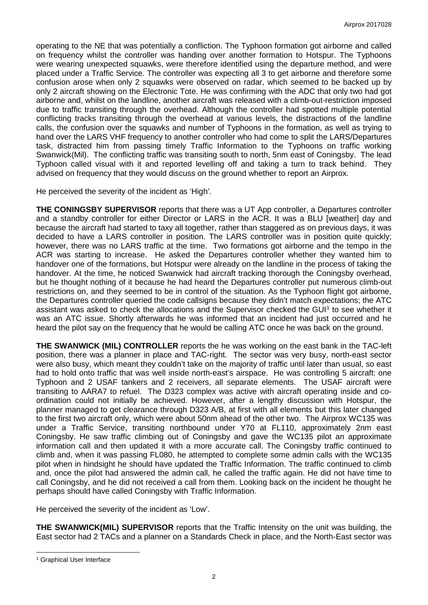operating to the NE that was potentially a confliction. The Typhoon formation got airborne and called on frequency whilst the controller was handing over another formation to Hotspur. The Typhoons were wearing unexpected squawks, were therefore identified using the departure method, and were placed under a Traffic Service. The controller was expecting all 3 to get airborne and therefore some confusion arose when only 2 squawks were observed on radar, which seemed to be backed up by only 2 aircraft showing on the Electronic Tote. He was confirming with the ADC that only two had got airborne and, whilst on the landline, another aircraft was released with a climb-out-restriction imposed due to traffic transiting through the overhead. Although the controller had spotted multiple potential conflicting tracks transiting through the overhead at various levels, the distractions of the landline calls, the confusion over the squawks and number of Typhoons in the formation, as well as trying to hand over the LARS VHF frequency to another controller who had come to split the LARS/Departures task, distracted him from passing timely Traffic Information to the Typhoons on traffic working Swanwick(Mil). The conflicting traffic was transiting south to north, 5nm east of Coningsby. The lead Typhoon called visual with it and reported levelling off and taking a turn to track behind. They advised on frequency that they would discuss on the ground whether to report an Airprox.

He perceived the severity of the incident as 'High'.

**THE CONINGSBY SUPERVISOR** reports that there was a UT App controller, a Departures controller and a standby controller for either Director or LARS in the ACR. It was a BLU [weather] day and because the aircraft had started to taxy all together, rather than staggered as on previous days, it was decided to have a LARS controller in position. The LARS controller was in position quite quickly; however, there was no LARS traffic at the time. Two formations got airborne and the tempo in the ACR was starting to increase. He asked the Departures controller whether they wanted him to handover one of the formations, but Hotspur were already on the landline in the process of taking the handover. At the time, he noticed Swanwick had aircraft tracking thorough the Coningsby overhead, but he thought nothing of it because he had heard the Departures controller put numerous climb-out restrictions on, and they seemed to be in control of the situation. As the Typhoon flight got airborne, the Departures controller queried the code callsigns because they didn't match expectations; the ATC assistant was asked to check the allocations and the Supervisor checked the GUI<sup>[1](#page-1-0)</sup> to see whether it was an ATC issue. Shortly afterwards he was informed that an incident had just occurred and he heard the pilot say on the frequency that he would be calling ATC once he was back on the ground.

**THE SWANWICK (MIL) CONTROLLER** reports the he was working on the east bank in the TAC-left position, there was a planner in place and TAC-right. The sector was very busy, north-east sector were also busy, which meant they couldn't take on the majority of traffic until later than usual, so east had to hold onto traffic that was well inside north-east's airspace. He was controlling 5 aircraft: one Typhoon and 2 USAF tankers and 2 receivers, all separate elements. The USAF aircraft were transiting to AARA7 to refuel. The D323 complex was active with aircraft operating inside and coordination could not initially be achieved. However, after a lengthy discussion with Hotspur, the planner managed to get clearance through D323 A/B, at first with all elements but this later changed to the first two aircraft only, which were about 50nm ahead of the other two. The Airprox WC135 was under a Traffic Service, transiting northbound under Y70 at FL110, approximately 2nm east Coningsby. He saw traffic climbing out of Coningsby and gave the WC135 pilot an approximate information call and then updated it with a more accurate call. The Coningsby traffic continued to climb and, when it was passing FL080, he attempted to complete some admin calls with the WC135 pilot when in hindsight he should have updated the Traffic Information. The traffic continued to climb and, once the pilot had answered the admin call, he called the traffic again. He did not have time to call Coningsby, and he did not received a call from them. Looking back on the incident he thought he perhaps should have called Coningsby with Traffic Information.

He perceived the severity of the incident as 'Low'.

**THE SWANWICK(MIL) SUPERVISOR** reports that the Traffic Intensity on the unit was building, the East sector had 2 TACs and a planner on a Standards Check in place, and the North-East sector was

 $\overline{\phantom{a}}$ 

<span id="page-1-0"></span><sup>1</sup> Graphical User Interface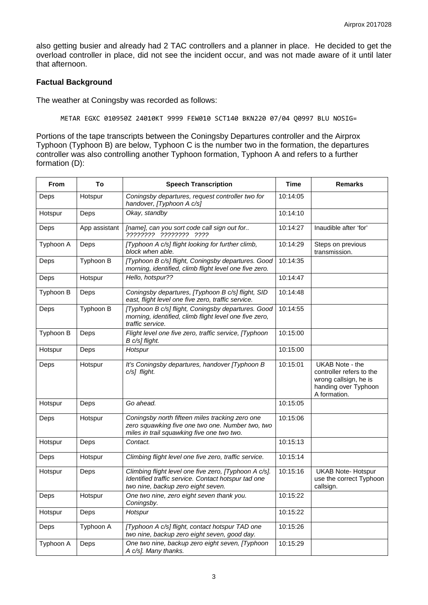also getting busier and already had 2 TAC controllers and a planner in place. He decided to get the overload controller in place, did not see the incident occur, and was not made aware of it until later that afternoon.

#### **Factual Background**

The weather at Coningsby was recorded as follows:

METAR EGXC 010950Z 24010KT 9999 FEW010 SCT140 BKN220 07/04 Q0997 BLU NOSIG=

Portions of the tape transcripts between the Coningsby Departures controller and the Airprox Typhoon (Typhoon B) are below, Typhoon C is the number two in the formation, the departures controller was also controlling another Typhoon formation, Typhoon A and refers to a further formation (D):

| <b>From</b> | To            | <b>Speech Transcription</b>                                                                                                                        | Time     | <b>Remarks</b>                                                                                                      |
|-------------|---------------|----------------------------------------------------------------------------------------------------------------------------------------------------|----------|---------------------------------------------------------------------------------------------------------------------|
| Deps        | Hotspur       | Coningsby departures, request controller two for<br>handover, [Typhoon A c/s]                                                                      | 10:14:05 |                                                                                                                     |
| Hotspur     | Deps          | Okay, standby                                                                                                                                      | 10:14:10 |                                                                                                                     |
| Deps        | App assistant | [name], can you sort code call sign out for<br>???????? ???????? ????                                                                              | 10:14:27 | Inaudible after 'for'                                                                                               |
| Typhoon A   | Deps          | [Typhoon A c/s] flight looking for further climb,<br>block when able.                                                                              | 10:14:29 | Steps on previous<br>transmission.                                                                                  |
| Deps        | Typhoon B     | [Typhoon B c/s] flight, Coningsby departures. Good<br>morning, identified, climb flight level one five zero.                                       | 10:14:35 |                                                                                                                     |
| Deps        | Hotspur       | Hello, hotspur??                                                                                                                                   | 10:14:47 |                                                                                                                     |
| Typhoon B   | Deps          | Coningsby departures, [Typhoon B c/s] flight, SID<br>east, flight level one five zero, traffic service.                                            | 10:14:48 |                                                                                                                     |
| Deps        | Typhoon B     | [Typhoon B c/s] flight, Coningsby departures. Good<br>morning, identified, climb flight level one five zero,<br>traffic service.                   | 10:14:55 |                                                                                                                     |
| Typhoon B   | Deps          | Flight level one five zero, traffic service, [Typhoon<br>B c/s] flight.                                                                            | 10:15:00 |                                                                                                                     |
| Hotspur     | Deps          | Hotspur                                                                                                                                            | 10:15:00 |                                                                                                                     |
| Deps        | Hotspur       | It's Coningsby departures, handover [Typhoon B<br>c/s] flight.                                                                                     | 10:15:01 | <b>UKAB Note - the</b><br>controller refers to the<br>wrong callsign, he is<br>handing over Typhoon<br>A formation. |
| Hotspur     | Deps          | Go ahead.                                                                                                                                          | 10:15:05 |                                                                                                                     |
| Deps        | Hotspur       | Coningsby north fifteen miles tracking zero one<br>zero squawking five one two one. Number two, two<br>miles in trail squawking five one two two.  | 10:15:06 |                                                                                                                     |
| Hotspur     | Deps          | Contact.                                                                                                                                           | 10:15:13 |                                                                                                                     |
| Deps        | Hotspur       | Climbing flight level one five zero, traffic service.                                                                                              | 10:15:14 |                                                                                                                     |
| Hotspur     | Deps          | Climbing flight level one five zero, [Typhoon A c/s].<br>Identified traffic service. Contact hotspur tad one<br>two nine, backup zero eight seven. | 10:15:16 | <b>UKAB Note- Hotspur</b><br>use the correct Typhoon<br>callsign.                                                   |
| Deps        | Hotspur       | One two nine, zero eight seven thank you.<br>Coningsby.                                                                                            | 10:15:22 |                                                                                                                     |
| Hotspur     | Deps          | Hotspur                                                                                                                                            | 10:15:22 |                                                                                                                     |
| Deps        | Typhoon A     | [Typhoon A c/s] flight, contact hotspur TAD one<br>two nine, backup zero eight seven, good day.                                                    | 10:15:26 |                                                                                                                     |
| Typhoon A   | Deps          | One two nine, backup zero eight seven, [Typhoon<br>A c/s]. Many thanks.                                                                            | 10:15:29 |                                                                                                                     |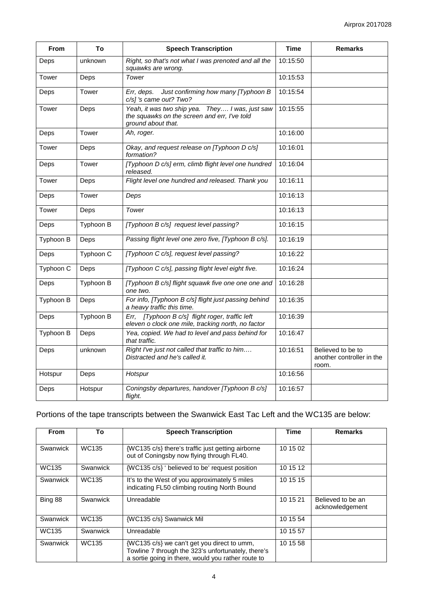| <b>From</b> | To        | <b>Speech Transcription</b>                                                                                           | <b>Time</b> | <b>Remarks</b>                                          |
|-------------|-----------|-----------------------------------------------------------------------------------------------------------------------|-------------|---------------------------------------------------------|
| Deps        | unknown   | Right, so that's not what I was prenoted and all the<br>squawks are wrong.                                            | 10:15:50    |                                                         |
| Tower       | Deps      | Tower                                                                                                                 | 10:15:53    |                                                         |
| Deps        | Tower     | Just confirming how many [Typhoon B<br>Err, deps.<br>c/s] 's came out? Two?                                           | 10:15:54    |                                                         |
| Tower       | Deps      | Yeah, it was two ship yea. They I was, just saw<br>the squawks on the screen and err, I've told<br>ground about that. | 10:15:55    |                                                         |
| Deps        | Tower     | Ah, roger.                                                                                                            | 10:16:00    |                                                         |
| Tower       | Deps      | Okay, and request release on [Typhoon D c/s]<br>formation?                                                            | 10:16:01    |                                                         |
| Deps        | Tower     | [Typhoon D c/s] erm, climb flight level one hundred<br>released.                                                      | 10:16:04    |                                                         |
| Tower       | Deps      | Flight level one hundred and released. Thank you                                                                      | 10:16:11    |                                                         |
| Deps        | Tower     | Deps                                                                                                                  | 10:16:13    |                                                         |
| Tower       | Deps      | Tower                                                                                                                 | 10:16:13    |                                                         |
| Deps        | Typhoon B | [Typhoon B c/s] request level passing?                                                                                | 10:16:15    |                                                         |
| Typhoon B   | Deps      | Passing flight level one zero five, [Typhoon B c/s].                                                                  | 10:16:19    |                                                         |
| Deps        | Typhoon C | [Typhoon C c/s], request level passing?<br>10:16:22                                                                   |             |                                                         |
| Typhoon C   | Deps      | [Typhoon C c/s], passing flight level eight five.                                                                     | 10:16:24    |                                                         |
| Deps        | Typhoon B | [Typhoon B c/s] flight squawk five one one one and<br>10:16:28<br>one two.                                            |             |                                                         |
| Typhoon B   | Deps      | For info, [Typhoon B c/s] flight just passing behind<br>10:16:35<br>a heavy traffic this time.                        |             |                                                         |
| Deps        | Typhoon B | Err, [Typhoon B c/s] flight roger, traffic left<br>eleven o clock one mile, tracking north, no factor                 | 10:16:39    |                                                         |
| Typhoon B   | Deps      | Yea, copied. We had to level and pass behind for<br>that traffic.                                                     | 10:16:47    |                                                         |
| Deps        | unknown   | Right I've just not called that traffic to him<br>Distracted and he's called it.                                      | 10:16:51    | Believed to be to<br>another controller in the<br>room. |
| Hotspur     | Deps      | Hotspur                                                                                                               | 10:16:56    |                                                         |
| Deps        | Hotspur   | Coningsby departures, handover [Typhoon B c/s]<br>flight.                                                             | 10:16:57    |                                                         |

# Portions of the tape transcripts between the Swanwick East Tac Left and the WC135 are below:

| <b>From</b> | To       | <b>Speech Transcription</b>                                                                                                                             | Time     | <b>Remarks</b>                       |
|-------------|----------|---------------------------------------------------------------------------------------------------------------------------------------------------------|----------|--------------------------------------|
| Swanwick    | WC135    | {WC135 c/s} there's traffic just getting airborne<br>out of Coningsby now flying through FL40.                                                          | 10 15 02 |                                      |
| WC135       | Swanwick | 10 15 12<br>{WC135 c/s} ' believed to be' request position                                                                                              |          |                                      |
| Swanwick    | WC135    | It's to the West of you approximately 5 miles<br>indicating FL50 climbing routing North Bound                                                           | 10 15 15 |                                      |
| Bing 88     | Swanwick | Unreadable                                                                                                                                              | 10 15 21 | Believed to be an<br>acknowledgement |
| Swanwick    | WC135    | {WC135 c/s} Swanwick Mil                                                                                                                                | 10 15 54 |                                      |
| WC135       | Swanwick | 10 15 57<br>Unreadable                                                                                                                                  |          |                                      |
| Swanwick    | WC135    | {WC135 c/s} we can't get you direct to umm,<br>Towline 7 through the 323's unfortunately, there's<br>a sortie going in there, would you rather route to | 10 15 58 |                                      |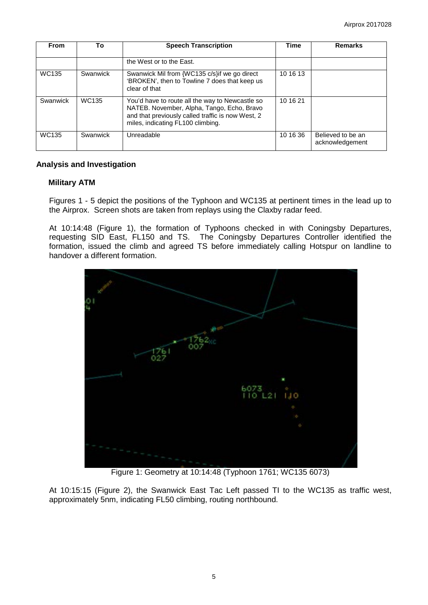| <b>From</b> | To       | <b>Speech Transcription</b>                                                                                                                                                             | <b>Time</b> | <b>Remarks</b>                       |
|-------------|----------|-----------------------------------------------------------------------------------------------------------------------------------------------------------------------------------------|-------------|--------------------------------------|
|             |          |                                                                                                                                                                                         |             |                                      |
|             |          | the West or to the East.                                                                                                                                                                |             |                                      |
| WC135       | Swanwick | Swanwick Mil from {WC135 c/s}if we go direct<br>'BROKEN', then to Towline 7 does that keep us<br>clear of that                                                                          | 10 16 13    |                                      |
| Swanwick    | WC135    | You'd have to route all the way to Newcastle so<br>NATEB. November, Alpha, Tango, Echo, Bravo<br>and that previously called traffic is now West, 2<br>miles, indicating FL100 climbing. | 10 16 21    |                                      |
| WC135       | Swanwick | Unreadable                                                                                                                                                                              | 10 16 36    | Believed to be an<br>acknowledgement |

### **Analysis and Investigation**

#### **Military ATM**

Figures 1 - 5 depict the positions of the Typhoon and WC135 at pertinent times in the lead up to the Airprox. Screen shots are taken from replays using the Claxby radar feed.

At 10:14:48 (Figure 1), the formation of Typhoons checked in with Coningsby Departures, requesting SID East, FL150 and TS. The Coningsby Departures Controller identified the formation, issued the climb and agreed TS before immediately calling Hotspur on landline to handover a different formation.



Figure 1: Geometry at 10:14:48 (Typhoon 1761; WC135 6073)

At 10:15:15 (Figure 2), the Swanwick East Tac Left passed TI to the WC135 as traffic west, approximately 5nm, indicating FL50 climbing, routing northbound.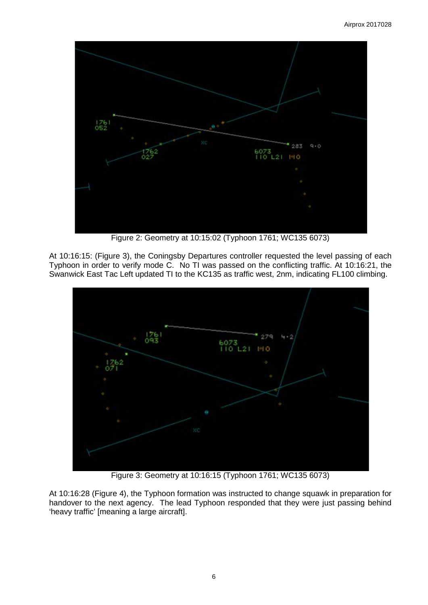

Figure 2: Geometry at 10:15:02 (Typhoon 1761; WC135 6073)

At 10:16:15: (Figure 3), the Coningsby Departures controller requested the level passing of each Typhoon in order to verify mode C. No TI was passed on the conflicting traffic. At 10:16:21, the Swanwick East Tac Left updated TI to the KC135 as traffic west, 2nm, indicating FL100 climbing.



Figure 3: Geometry at 10:16:15 (Typhoon 1761; WC135 6073)

At 10:16:28 (Figure 4), the Typhoon formation was instructed to change squawk in preparation for handover to the next agency. The lead Typhoon responded that they were just passing behind 'heavy traffic' [meaning a large aircraft].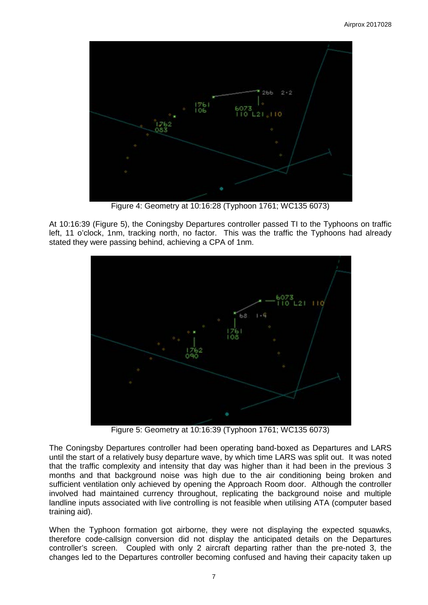

Figure 4: Geometry at 10:16:28 (Typhoon 1761; WC135 6073)

At 10:16:39 (Figure 5), the Coningsby Departures controller passed TI to the Typhoons on traffic left, 11 o'clock, 1nm, tracking north, no factor. This was the traffic the Typhoons had already stated they were passing behind, achieving a CPA of 1nm.



Figure 5: Geometry at 10:16:39 (Typhoon 1761; WC135 6073)

The Coningsby Departures controller had been operating band-boxed as Departures and LARS until the start of a relatively busy departure wave, by which time LARS was split out. It was noted that the traffic complexity and intensity that day was higher than it had been in the previous 3 months and that background noise was high due to the air conditioning being broken and sufficient ventilation only achieved by opening the Approach Room door. Although the controller involved had maintained currency throughout, replicating the background noise and multiple landline inputs associated with live controlling is not feasible when utilising ATA (computer based training aid).

When the Typhoon formation got airborne, they were not displaying the expected squawks, therefore code-callsign conversion did not display the anticipated details on the Departures controller's screen. Coupled with only 2 aircraft departing rather than the pre-noted 3, the changes led to the Departures controller becoming confused and having their capacity taken up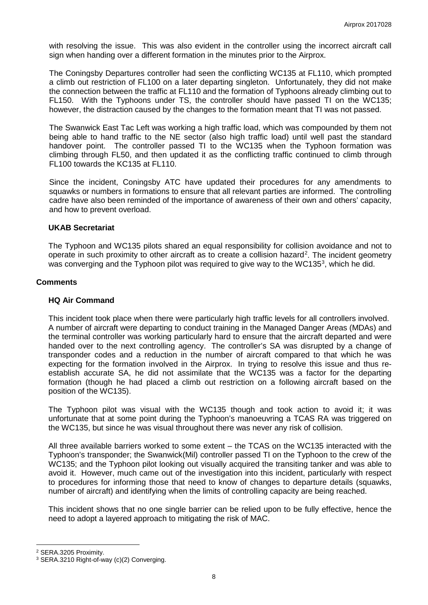with resolving the issue. This was also evident in the controller using the incorrect aircraft call sign when handing over a different formation in the minutes prior to the Airprox.

The Coningsby Departures controller had seen the conflicting WC135 at FL110, which prompted a climb out restriction of FL100 on a later departing singleton. Unfortunately, they did not make the connection between the traffic at FL110 and the formation of Typhoons already climbing out to FL150. With the Typhoons under TS, the controller should have passed TI on the WC135; however, the distraction caused by the changes to the formation meant that TI was not passed.

The Swanwick East Tac Left was working a high traffic load, which was compounded by them not being able to hand traffic to the NE sector (also high traffic load) until well past the standard handover point. The controller passed TI to the WC135 when the Typhoon formation was climbing through FL50, and then updated it as the conflicting traffic continued to climb through FL100 towards the KC135 at FL110.

Since the incident, Coningsby ATC have updated their procedures for any amendments to squawks or numbers in formations to ensure that all relevant parties are informed. The controlling cadre have also been reminded of the importance of awareness of their own and others' capacity, and how to prevent overload.

## **UKAB Secretariat**

The Typhoon and WC135 pilots shared an equal responsibility for collision avoidance and not to operate in such proximity to other aircraft as to create a collision hazard<sup>[2](#page-7-0)</sup>. The incident geometry was converging and the Typhoon pilot was required to give way to the WC1[3](#page-7-1)5<sup>3</sup>, which he did.

#### **Comments**

#### **HQ Air Command**

This incident took place when there were particularly high traffic levels for all controllers involved. A number of aircraft were departing to conduct training in the Managed Danger Areas (MDAs) and the terminal controller was working particularly hard to ensure that the aircraft departed and were handed over to the next controlling agency. The controller's SA was disrupted by a change of transponder codes and a reduction in the number of aircraft compared to that which he was expecting for the formation involved in the Airprox. In trying to resolve this issue and thus reestablish accurate SA, he did not assimilate that the WC135 was a factor for the departing formation (though he had placed a climb out restriction on a following aircraft based on the position of the WC135).

The Typhoon pilot was visual with the WC135 though and took action to avoid it; it was unfortunate that at some point during the Typhoon's manoeuvring a TCAS RA was triggered on the WC135, but since he was visual throughout there was never any risk of collision.

All three available barriers worked to some extent – the TCAS on the WC135 interacted with the Typhoon's transponder; the Swanwick(Mil) controller passed TI on the Typhoon to the crew of the WC135; and the Typhoon pilot looking out visually acquired the transiting tanker and was able to avoid it. However, much came out of the investigation into this incident, particularly with respect to procedures for informing those that need to know of changes to departure details (squawks, number of aircraft) and identifying when the limits of controlling capacity are being reached.

This incident shows that no one single barrier can be relied upon to be fully effective, hence the need to adopt a layered approach to mitigating the risk of MAC.

l

<span id="page-7-0"></span><sup>2</sup> SERA.3205 Proximity.

<span id="page-7-1"></span><sup>3</sup> SERA.3210 Right-of-way (c)(2) Converging.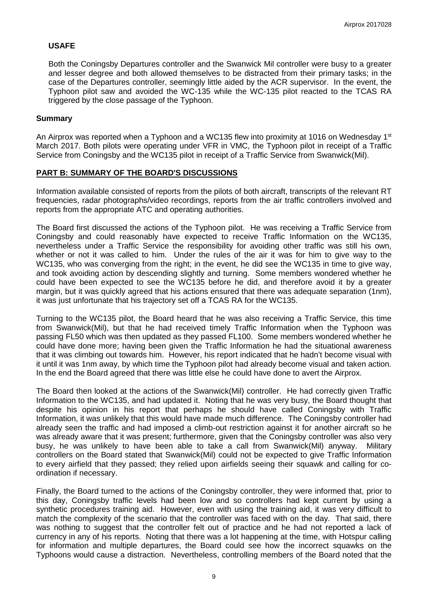# **USAFE**

Both the Coningsby Departures controller and the Swanwick Mil controller were busy to a greater and lesser degree and both allowed themselves to be distracted from their primary tasks; in the case of the Departures controller, seemingly little aided by the ACR supervisor. In the event, the Typhoon pilot saw and avoided the WC-135 while the WC-135 pilot reacted to the TCAS RA triggered by the close passage of the Typhoon.

#### **Summary**

An Airprox was reported when a Typhoon and a WC135 flew into proximity at 1016 on Wednesday 1<sup>st</sup> March 2017. Both pilots were operating under VFR in VMC, the Typhoon pilot in receipt of a Traffic Service from Coningsby and the WC135 pilot in receipt of a Traffic Service from Swanwick(Mil).

# **PART B: SUMMARY OF THE BOARD'S DISCUSSIONS**

Information available consisted of reports from the pilots of both aircraft, transcripts of the relevant RT frequencies, radar photographs/video recordings, reports from the air traffic controllers involved and reports from the appropriate ATC and operating authorities.

The Board first discussed the actions of the Typhoon pilot. He was receiving a Traffic Service from Coningsby and could reasonably have expected to receive Traffic Information on the WC135, nevertheless under a Traffic Service the responsibility for avoiding other traffic was still his own, whether or not it was called to him. Under the rules of the air it was for him to give way to the WC135, who was converging from the right; in the event, he did see the WC135 in time to give way, and took avoiding action by descending slightly and turning. Some members wondered whether he could have been expected to see the WC135 before he did, and therefore avoid it by a greater margin, but it was quickly agreed that his actions ensured that there was adequate separation (1nm), it was just unfortunate that his trajectory set off a TCAS RA for the WC135.

Turning to the WC135 pilot, the Board heard that he was also receiving a Traffic Service, this time from Swanwick(Mil), but that he had received timely Traffic Information when the Typhoon was passing FL50 which was then updated as they passed FL100. Some members wondered whether he could have done more; having been given the Traffic Information he had the situational awareness that it was climbing out towards him. However, his report indicated that he hadn't become visual with it until it was 1nm away, by which time the Typhoon pilot had already become visual and taken action. In the end the Board agreed that there was little else he could have done to avert the Airprox.

The Board then looked at the actions of the Swanwick(Mil) controller. He had correctly given Traffic Information to the WC135, and had updated it. Noting that he was very busy, the Board thought that despite his opinion in his report that perhaps he should have called Coningsby with Traffic Information, it was unlikely that this would have made much difference. The Coningsby controller had already seen the traffic and had imposed a climb-out restriction against it for another aircraft so he was already aware that it was present; furthermore, given that the Coningsby controller was also very busy, he was unlikely to have been able to take a call from Swanwick(Mil) anyway. Military controllers on the Board stated that Swanwick(Mil) could not be expected to give Traffic Information to every airfield that they passed; they relied upon airfields seeing their squawk and calling for coordination if necessary.

Finally, the Board turned to the actions of the Coningsby controller, they were informed that, prior to this day, Coningsby traffic levels had been low and so controllers had kept current by using a synthetic procedures training aid. However, even with using the training aid, it was very difficult to match the complexity of the scenario that the controller was faced with on the day. That said, there was nothing to suggest that the controller felt out of practice and he had not reported a lack of currency in any of his reports. Noting that there was a lot happening at the time, with Hotspur calling for information and multiple departures, the Board could see how the incorrect squawks on the Typhoons would cause a distraction. Nevertheless, controlling members of the Board noted that the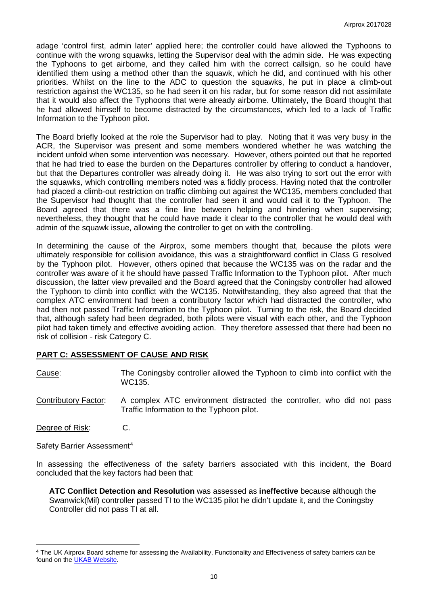adage 'control first, admin later' applied here; the controller could have allowed the Typhoons to continue with the wrong squawks, letting the Supervisor deal with the admin side. He was expecting the Typhoons to get airborne, and they called him with the correct callsign, so he could have identified them using a method other than the squawk, which he did, and continued with his other priorities. Whilst on the line to the ADC to question the squawks, he put in place a climb-out restriction against the WC135, so he had seen it on his radar, but for some reason did not assimilate that it would also affect the Typhoons that were already airborne. Ultimately, the Board thought that he had allowed himself to become distracted by the circumstances, which led to a lack of Traffic Information to the Typhoon pilot.

The Board briefly looked at the role the Supervisor had to play. Noting that it was very busy in the ACR, the Supervisor was present and some members wondered whether he was watching the incident unfold when some intervention was necessary. However, others pointed out that he reported that he had tried to ease the burden on the Departures controller by offering to conduct a handover, but that the Departures controller was already doing it. He was also trying to sort out the error with the squawks, which controlling members noted was a fiddly process. Having noted that the controller had placed a climb-out restriction on traffic climbing out against the WC135, members concluded that the Supervisor had thought that the controller had seen it and would call it to the Typhoon. The Board agreed that there was a fine line between helping and hindering when supervising; nevertheless, they thought that he could have made it clear to the controller that he would deal with admin of the squawk issue, allowing the controller to get on with the controlling.

In determining the cause of the Airprox, some members thought that, because the pilots were ultimately responsible for collision avoidance, this was a straightforward conflict in Class G resolved by the Typhoon pilot. However, others opined that because the WC135 was on the radar and the controller was aware of it he should have passed Traffic Information to the Typhoon pilot. After much discussion, the latter view prevailed and the Board agreed that the Coningsby controller had allowed the Typhoon to climb into conflict with the WC135. Notwithstanding, they also agreed that that the complex ATC environment had been a contributory factor which had distracted the controller, who had then not passed Traffic Information to the Typhoon pilot. Turning to the risk, the Board decided that, although safety had been degraded, both pilots were visual with each other, and the Typhoon pilot had taken timely and effective avoiding action. They therefore assessed that there had been no risk of collision - risk Category C.

# **PART C: ASSESSMENT OF CAUSE AND RISK**

Cause: The Coningsby controller allowed the Typhoon to climb into conflict with the WC135.

- Contributory Factor: A complex ATC environment distracted the controller, who did not pass Traffic Information to the Typhoon pilot.
- Degree of Risk: C.
- Safety Barrier Assessment<sup>[4](#page-9-0)</sup>

l

In assessing the effectiveness of the safety barriers associated with this incident, the Board concluded that the key factors had been that:

**ATC Conflict Detection and Resolution** was assessed as **ineffective** because although the Swanwick(Mil) controller passed TI to the WC135 pilot he didn't update it, and the Coningsby Controller did not pass TI at all.

<span id="page-9-0"></span><sup>4</sup> The UK Airprox Board scheme for assessing the Availability, Functionality and Effectiveness of safety barriers can be found on the **UKAB Website**.